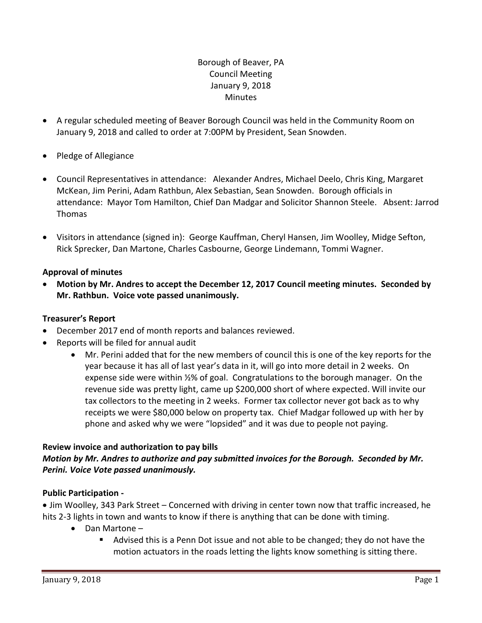# Borough of Beaver, PA Council Meeting January 9, 2018 **Minutes**

- A regular scheduled meeting of Beaver Borough Council was held in the Community Room on January 9, 2018 and called to order at 7:00PM by President, Sean Snowden.
- Pledge of Allegiance
- Council Representatives in attendance: Alexander Andres, Michael Deelo, Chris King, Margaret McKean, Jim Perini, Adam Rathbun, Alex Sebastian, Sean Snowden. Borough officials in attendance: Mayor Tom Hamilton, Chief Dan Madgar and Solicitor Shannon Steele. Absent: Jarrod Thomas
- Visitors in attendance (signed in): George Kauffman, Cheryl Hansen, Jim Woolley, Midge Sefton, Rick Sprecker, Dan Martone, Charles Casbourne, George Lindemann, Tommi Wagner.

## **Approval of minutes**

 **Motion by Mr. Andres to accept the December 12, 2017 Council meeting minutes. Seconded by Mr. Rathbun. Voice vote passed unanimously.**

### **Treasurer's Report**

- December 2017 end of month reports and balances reviewed.
- Reports will be filed for annual audit
	- Mr. Perini added that for the new members of council this is one of the key reports for the year because it has all of last year's data in it, will go into more detail in 2 weeks. On expense side were within ½% of goal. Congratulations to the borough manager. On the revenue side was pretty light, came up \$200,000 short of where expected. Will invite our tax collectors to the meeting in 2 weeks. Former tax collector never got back as to why receipts we were \$80,000 below on property tax. Chief Madgar followed up with her by phone and asked why we were "lopsided" and it was due to people not paying.

### **Review invoice and authorization to pay bills**

## *Motion by Mr. Andres to authorize and pay submitted invoices for the Borough. Seconded by Mr. Perini. Voice Vote passed unanimously.*

### **Public Participation -**

 Jim Woolley, 343 Park Street – Concerned with driving in center town now that traffic increased, he hits 2-3 lights in town and wants to know if there is anything that can be done with timing.

- Dan Martone
	- Advised this is a Penn Dot issue and not able to be changed; they do not have the motion actuators in the roads letting the lights know something is sitting there.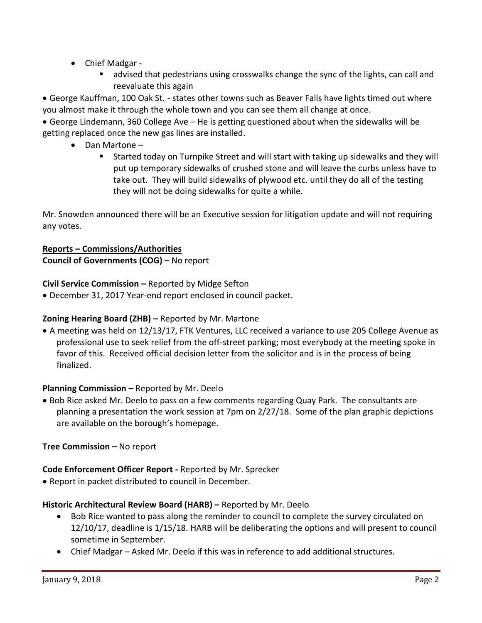- Chief Madgar
	- advised that pedestrians using crosswalks change the sync of the lights, can call and reevaluate this again

 George Kauffman, 100 Oak St. - states other towns such as Beaver Falls have lights timed out where you almost make it through the whole town and you can see them all change at once.

 George Lindemann, 360 College Ave – He is getting questioned about when the sidewalks will be getting replaced once the new gas lines are installed.

- Dan Martone
	- Started today on Turnpike Street and will start with taking up sidewalks and they will put up temporary sidewalks of crushed stone and will leave the curbs unless have to take out. They will build sidewalks of plywood etc. until they do all of the testing they will not be doing sidewalks for quite a while.

Mr. Snowden announced there will be an Executive session for litigation update and will not requiring any votes.

# **Reports – Commissions/Authorities**

**Council of Governments (COG) –** No report

**Civil Service Commission –** Reported by Midge Sefton

December 31, 2017 Year-end report enclosed in council packet.

# **Zoning Hearing Board (ZHB) –** Reported by Mr. Martone

 A meeting was held on 12/13/17, FTK Ventures, LLC received a variance to use 205 College Avenue as professional use to seek relief from the off-street parking; most everybody at the meeting spoke in favor of this. Received official decision letter from the solicitor and is in the process of being finalized.

### **Planning Commission –** Reported by Mr. Deelo

• Bob Rice asked Mr. Deelo to pass on a few comments regarding Quay Park. The consultants are planning a presentation the work session at 7pm on 2/27/18. Some of the plan graphic depictions are available on the borough's homepage.

**Tree Commission – No report** 

# **Code Enforcement Officer Report -** Reported by Mr. Sprecker

Report in packet distributed to council in December.

### **Historic Architectural Review Board (HARB) –** Reported by Mr. Deelo

- Bob Rice wanted to pass along the reminder to council to complete the survey circulated on 12/10/17, deadline is 1/15/18. HARB will be deliberating the options and will present to council sometime in September.
- Chief Madgar Asked Mr. Deelo if this was in reference to add additional structures.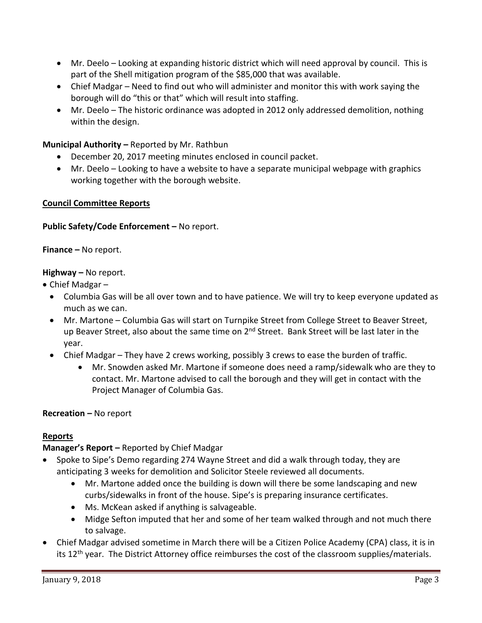- Mr. Deelo Looking at expanding historic district which will need approval by council. This is part of the Shell mitigation program of the \$85,000 that was available.
- Chief Madgar Need to find out who will administer and monitor this with work saying the borough will do "this or that" which will result into staffing.
- Mr. Deelo The historic ordinance was adopted in 2012 only addressed demolition, nothing within the design.

### **Municipal Authority –** Reported by Mr. Rathbun

- December 20, 2017 meeting minutes enclosed in council packet.
- Mr. Deelo Looking to have a website to have a separate municipal webpage with graphics working together with the borough website.

### **Council Committee Reports**

### **Public Safety/Code Enforcement –** No report.

**Finance –** No report.

### **Highway –** No report.

- Chief Madgar
	- Columbia Gas will be all over town and to have patience. We will try to keep everyone updated as much as we can.
	- Mr. Martone Columbia Gas will start on Turnpike Street from College Street to Beaver Street, up Beaver Street, also about the same time on 2<sup>nd</sup> Street. Bank Street will be last later in the year.
	- Chief Madgar They have 2 crews working, possibly 3 crews to ease the burden of traffic.
		- Mr. Snowden asked Mr. Martone if someone does need a ramp/sidewalk who are they to contact. Mr. Martone advised to call the borough and they will get in contact with the Project Manager of Columbia Gas.

### **Recreation –** No report

### **Reports**

### **Manager's Report –** Reported by Chief Madgar

- Spoke to Sipe's Demo regarding 274 Wayne Street and did a walk through today, they are anticipating 3 weeks for demolition and Solicitor Steele reviewed all documents.
	- Mr. Martone added once the building is down will there be some landscaping and new curbs/sidewalks in front of the house. Sipe's is preparing insurance certificates.
	- Ms. McKean asked if anything is salvageable.
	- Midge Sefton imputed that her and some of her team walked through and not much there to salvage.
- Chief Madgar advised sometime in March there will be a Citizen Police Academy (CPA) class, it is in its 12<sup>th</sup> year. The District Attorney office reimburses the cost of the classroom supplies/materials.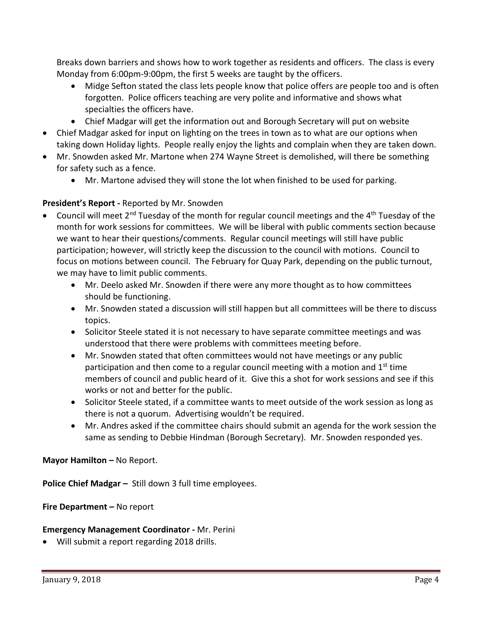Breaks down barriers and shows how to work together as residents and officers. The class is every Monday from 6:00pm-9:00pm, the first 5 weeks are taught by the officers.

- Midge Sefton stated the class lets people know that police offers are people too and is often forgotten. Police officers teaching are very polite and informative and shows what specialties the officers have.
- Chief Madgar will get the information out and Borough Secretary will put on website
- Chief Madgar asked for input on lighting on the trees in town as to what are our options when taking down Holiday lights. People really enjoy the lights and complain when they are taken down.
- Mr. Snowden asked Mr. Martone when 274 Wayne Street is demolished, will there be something for safety such as a fence.
	- Mr. Martone advised they will stone the lot when finished to be used for parking.

## **President's Report -** Reported by Mr. Snowden

- Council will meet 2<sup>nd</sup> Tuesday of the month for regular council meetings and the 4<sup>th</sup> Tuesday of the month for work sessions for committees. We will be liberal with public comments section because we want to hear their questions/comments. Regular council meetings will still have public participation; however, will strictly keep the discussion to the council with motions. Council to focus on motions between council. The February for Quay Park, depending on the public turnout, we may have to limit public comments.
	- Mr. Deelo asked Mr. Snowden if there were any more thought as to how committees should be functioning.
	- Mr. Snowden stated a discussion will still happen but all committees will be there to discuss topics.
	- Solicitor Steele stated it is not necessary to have separate committee meetings and was understood that there were problems with committees meeting before.
	- Mr. Snowden stated that often committees would not have meetings or any public participation and then come to a regular council meeting with a motion and  $1<sup>st</sup>$  time members of council and public heard of it. Give this a shot for work sessions and see if this works or not and better for the public.
	- Solicitor Steele stated, if a committee wants to meet outside of the work session as long as there is not a quorum. Advertising wouldn't be required.
	- Mr. Andres asked if the committee chairs should submit an agenda for the work session the same as sending to Debbie Hindman (Borough Secretary). Mr. Snowden responded yes.

### **Mayor Hamilton – No Report.**

**Police Chief Madgar –** Still down 3 full time employees.

**Fire Department –** No report

### **Emergency Management Coordinator -** Mr. Perini

Will submit a report regarding 2018 drills.